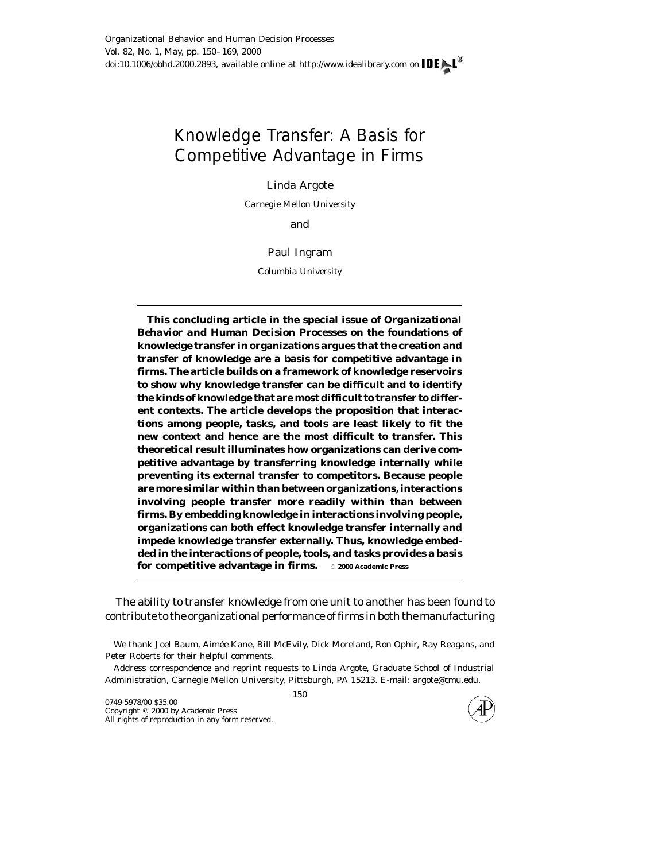# Knowledge Transfer: A Basis for Competitive Advantage in Firms

## Linda Argote

*Carnegie Mellon University*

and

## Paul Ingram

*Columbia University*

**This concluding article in the special issue of** *Organizational Behavior and Human Decision Processes* **on the foundations of knowledge transfer in organizations argues that the creation and transfer of knowledge are a basis for competitive advantage in firms. The article builds on a framework of knowledge reservoirs to show why knowledge transfer can be difficult and to identify the kinds of knowledge that are most difficult to transfer to different contexts. The article develops the proposition that interactions among people, tasks, and tools are least likely to fit the new context and hence are the most difficult to transfer. This theoretical result illuminates how organizations can derive competitive advantage by transferring knowledge internally while preventing its external transfer to competitors. Because people are more similar within than between organizations, interactions involving people transfer more readily within than between firms. By embedding knowledge in interactions involving people, organizations can both effect knowledge transfer internally and impede knowledge transfer externally. Thus, knowledge embedded in the interactions of people, tools, and tasks provides a basis** for competitive advantage in firms.  $Q$  2000 Academic Press

The ability to transfer knowledge from one unit to another has been found to contribute to the organizational performance of firms in both the manufacturing

We thank Joel Baum, Aimée Kane, Bill McEvily, Dick Moreland, Ron Ophir, Ray Reagans, and Peter Roberts for their helpful comments.

Address correspondence and reprint requests to Linda Argote, Graduate School of Industrial Administration, Carnegie Mellon University, Pittsburgh, PA 15213. E-mail: argote@cmu.edu.

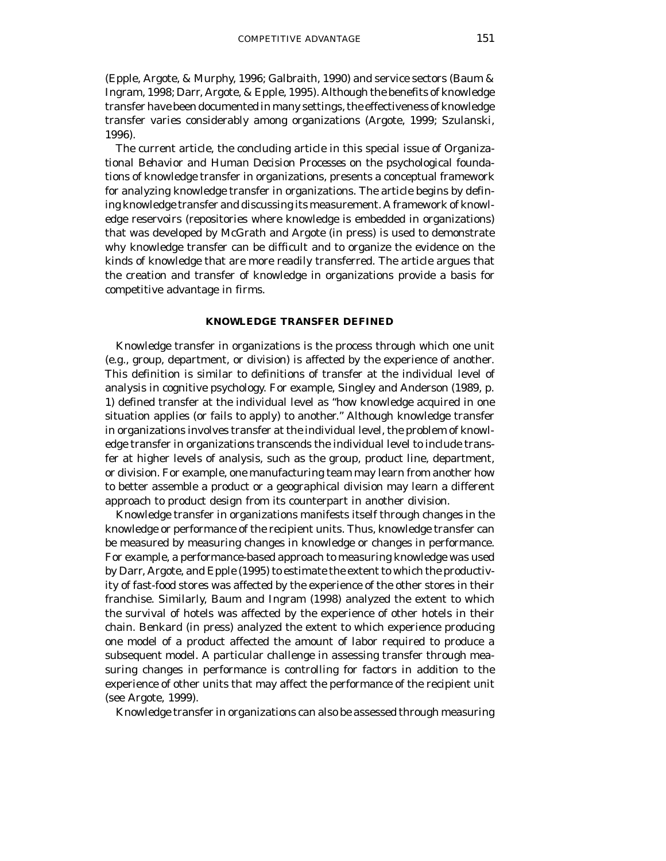(Epple, Argote, & Murphy, 1996; Galbraith, 1990) and service sectors (Baum & Ingram, 1998; Darr, Argote, & Epple, 1995). Although the benefits of knowledge transfer have been documented in many settings, the effectiveness of knowledge transfer varies considerably among organizations (Argote, 1999; Szulanski, 1996).

The current article, the concluding article in this special issue of *Organizational Behavior and Human Decision Processes* on the psychological foundations of knowledge transfer in organizations, presents a conceptual framework for analyzing knowledge transfer in organizations. The article begins by defining knowledge transfer and discussing its measurement. A framework of knowledge reservoirs (repositories where knowledge is embedded in organizations) that was developed by McGrath and Argote (in press) is used to demonstrate why knowledge transfer can be difficult and to organize the evidence on the kinds of knowledge that are more readily transferred. The article argues that the creation and transfer of knowledge in organizations provide a basis for competitive advantage in firms.

#### **KNOWLEDGE TRANSFER DEFINED**

Knowledge transfer in organizations is the process through which one unit (e.g., group, department, or division) is affected by the experience of another. This definition is similar to definitions of transfer at the individual level of analysis in cognitive psychology. For example, Singley and Anderson (1989, p. 1) defined transfer at the individual level as "how knowledge acquired in one situation applies (or fails to apply) to another." Although knowledge transfer in organizations involves transfer at the individual level, the problem of knowledge transfer in organizations transcends the individual level to include transfer at higher levels of analysis, such as the group, product line, department, or division. For example, one manufacturing team may learn from another how to better assemble a product or a geographical division may learn a different approach to product design from its counterpart in another division.

Knowledge transfer in organizations manifests itself through changes in the knowledge or performance of the recipient units. Thus, knowledge transfer can be measured by measuring changes in knowledge or changes in performance. For example, a performance-based approach to measuring knowledge was used by Darr, Argote, and Epple (1995) to estimate the extent to which the productivity of fast-food stores was affected by the experience of the other stores in their franchise. Similarly, Baum and Ingram (1998) analyzed the extent to which the survival of hotels was affected by the experience of other hotels in their chain. Benkard (in press) analyzed the extent to which experience producing one model of a product affected the amount of labor required to produce a subsequent model. A particular challenge in assessing transfer through measuring changes in performance is controlling for factors in addition to the experience of other units that may affect the performance of the recipient unit (see Argote, 1999).

Knowledge transfer in organizations can also be assessed through measuring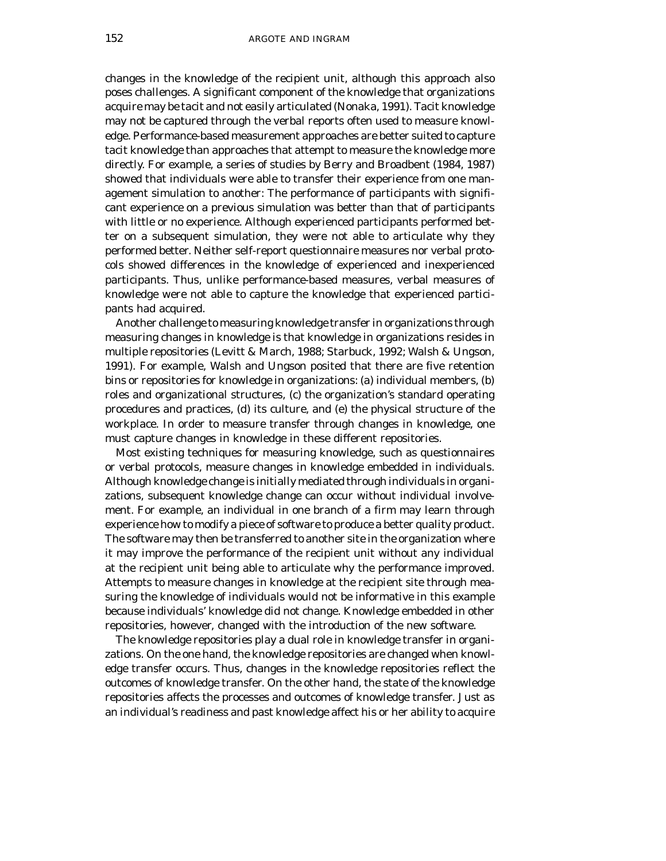changes in the knowledge of the recipient unit, although this approach also poses challenges. A significant component of the knowledge that organizations acquire may be tacit and not easily articulated (Nonaka, 1991). Tacit knowledge may not be captured through the verbal reports often used to measure knowledge. Performance-based measurement approaches are better suited to capture tacit knowledge than approaches that attempt to measure the knowledge more directly. For example, a series of studies by Berry and Broadbent (1984, 1987) showed that individuals were able to transfer their experience from one management simulation to another: The performance of participants with significant experience on a previous simulation was better than that of participants with little or no experience. Although experienced participants performed better on a subsequent simulation, they were not able to articulate why they performed better. Neither self-report questionnaire measures nor verbal protocols showed differences in the knowledge of experienced and inexperienced participants. Thus, unlike performance-based measures, verbal measures of knowledge were not able to capture the knowledge that experienced participants had acquired.

Another challenge to measuring knowledge transfer in organizations through measuring changes in knowledge is that knowledge in organizations resides in multiple repositories (Levitt & March, 1988; Starbuck, 1992; Walsh & Ungson, 1991). For example, Walsh and Ungson posited that there are five retention bins or repositories for knowledge in organizations: (a) individual members, (b) roles and organizational structures, (c) the organization's standard operating procedures and practices, (d) its culture, and (e) the physical structure of the workplace. In order to measure transfer through changes in knowledge, one must capture changes in knowledge in these different repositories.

Most existing techniques for measuring knowledge, such as questionnaires or verbal protocols, measure changes in knowledge embedded in individuals. Although knowledge change is initially mediated through individuals in organizations, subsequent knowledge change can occur without individual involvement. For example, an individual in one branch of a firm may learn through experience how to modify a piece of software to produce a better quality product. The software may then be transferred to another site in the organization where it may improve the performance of the recipient unit without any individual at the recipient unit being able to articulate why the performance improved. Attempts to measure changes in knowledge at the recipient site through measuring the knowledge of individuals would not be informative in this example because individuals' knowledge did not change. Knowledge embedded in other repositories, however, changed with the introduction of the new software.

The knowledge repositories play a dual role in knowledge transfer in organizations. On the one hand, the knowledge repositories are changed when knowledge transfer occurs. Thus, changes in the knowledge repositories reflect the outcomes of knowledge transfer. On the other hand, the state of the knowledge repositories affects the processes and outcomes of knowledge transfer. Just as an individual's readiness and past knowledge affect his or her ability to acquire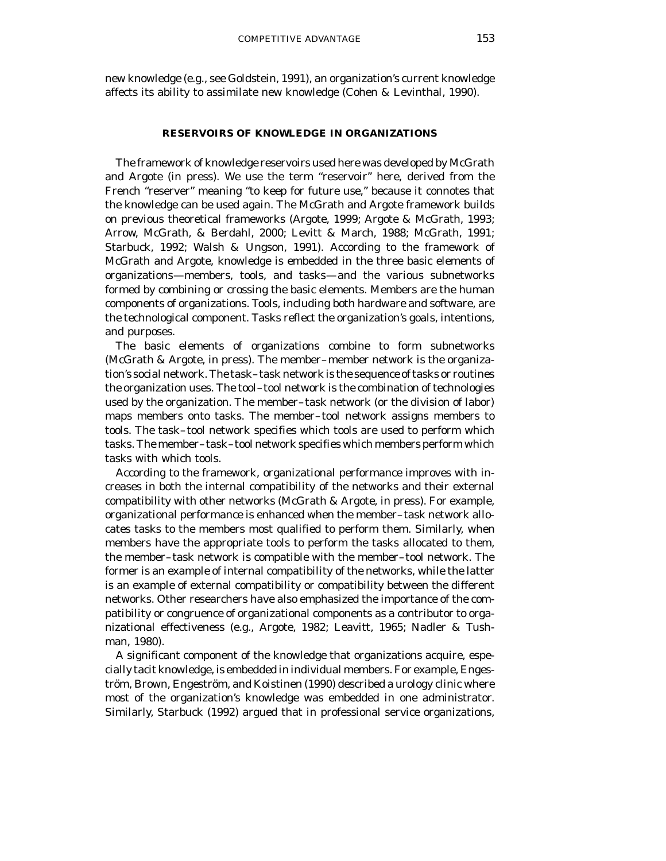new knowledge (e.g., see Goldstein, 1991), an organization's current knowledge affects its ability to assimilate new knowledge (Cohen & Levinthal, 1990).

#### **RESERVOIRS OF KNOWLEDGE IN ORGANIZATIONS**

The framework of knowledge reservoirs used here was developed by McGrath and Argote (in press). We use the term "reservoir" here, derived from the French "reserver" meaning "to keep for future use," because it connotes that the knowledge can be used again. The McGrath and Argote framework builds on previous theoretical frameworks (Argote, 1999; Argote & McGrath, 1993; Arrow, McGrath, & Berdahl, 2000; Levitt & March, 1988; McGrath, 1991; Starbuck, 1992; Walsh & Ungson, 1991). According to the framework of McGrath and Argote, knowledge is embedded in the three basic elements of organizations—members, tools, and tasks—and the various subnetworks formed by combining or crossing the basic elements. Members are the human components of organizations. Tools, including both hardware and software, are the technological component. Tasks reflect the organization's goals, intentions, and purposes.

The basic elements of organizations combine to form subnetworks (McGrath & Argote, in press). The member–member network is the organization's social network. The task–task network is the sequence of tasks or routines the organization uses. The tool–tool network is the combination of technologies used by the organization. The member–task network (or the division of labor) maps members onto tasks. The member–tool network assigns members to tools. The task–tool network specifies which tools are used to perform which tasks. The member–task–tool network specifies which members perform which tasks with which tools.

According to the framework, organizational performance improves with increases in both the internal compatibility of the networks and their external compatibility with other networks (McGrath & Argote, in press). For example, organizational performance is enhanced when the member–task network allocates tasks to the members most qualified to perform them. Similarly, when members have the appropriate tools to perform the tasks allocated to them, the member–task network is compatible with the member–tool network. The former is an example of internal compatibility of the networks, while the latter is an example of external compatibility or compatibility between the different networks. Other researchers have also emphasized the importance of the compatibility or congruence of organizational components as a contributor to organizational effectiveness (e.g., Argote, 1982; Leavitt, 1965; Nadler & Tushman, 1980).

A significant component of the knowledge that organizations acquire, especially tacit knowledge, is embedded in individual members. For example, Engeström, Brown, Engeström, and Koistinen (1990) described a urology clinic where most of the organization's knowledge was embedded in one administrator. Similarly, Starbuck (1992) argued that in professional service organizations,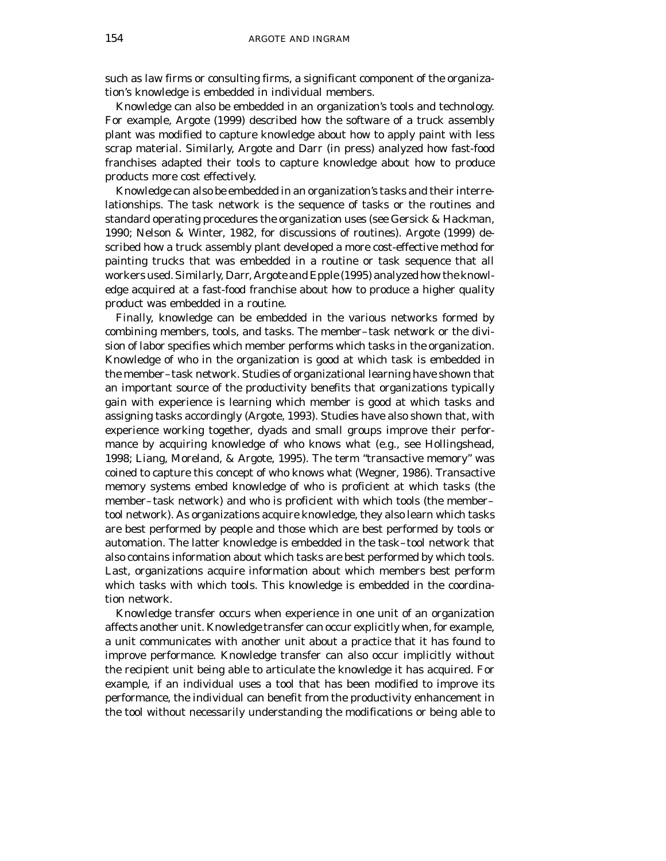such as law firms or consulting firms, a significant component of the organization's knowledge is embedded in individual members.

Knowledge can also be embedded in an organization's tools and technology. For example, Argote (1999) described how the software of a truck assembly plant was modified to capture knowledge about how to apply paint with less scrap material. Similarly, Argote and Darr (in press) analyzed how fast-food franchises adapted their tools to capture knowledge about how to produce products more cost effectively.

Knowledge can also be embedded in an organization's tasks and their interrelationships. The task network is the sequence of tasks or the routines and standard operating procedures the organization uses (see Gersick & Hackman, 1990; Nelson & Winter, 1982, for discussions of routines). Argote (1999) described how a truck assembly plant developed a more cost-effective method for painting trucks that was embedded in a routine or task sequence that all workers used. Similarly, Darr, Argote and Epple (1995) analyzed how the knowledge acquired at a fast-food franchise about how to produce a higher quality product was embedded in a routine.

Finally, knowledge can be embedded in the various networks formed by combining members, tools, and tasks. The member–task network or the division of labor specifies which member performs which tasks in the organization. Knowledge of who in the organization is good at which task is embedded in the member–task network. Studies of organizational learning have shown that an important source of the productivity benefits that organizations typically gain with experience is learning which member is good at which tasks and assigning tasks accordingly (Argote, 1993). Studies have also shown that, with experience working together, dyads and small groups improve their performance by acquiring knowledge of who knows what (e.g., see Hollingshead, 1998; Liang, Moreland, & Argote, 1995). The term "transactive memory" was coined to capture this concept of who knows what (Wegner, 1986). Transactive memory systems embed knowledge of who is proficient at which tasks (the member–task network) and who is proficient with which tools (the member– tool network). As organizations acquire knowledge, they also learn which tasks are best performed by people and those which are best performed by tools or automation. The latter knowledge is embedded in the task–tool network that also contains information about which tasks are best performed by which tools. Last, organizations acquire information about which members best perform which tasks with which tools. This knowledge is embedded in the coordination network.

Knowledge transfer occurs when experience in one unit of an organization affects another unit. Knowledge transfer can occur explicitly when, for example, a unit communicates with another unit about a practice that it has found to improve performance. Knowledge transfer can also occur implicitly without the recipient unit being able to articulate the knowledge it has acquired. For example, if an individual uses a tool that has been modified to improve its performance, the individual can benefit from the productivity enhancement in the tool without necessarily understanding the modifications or being able to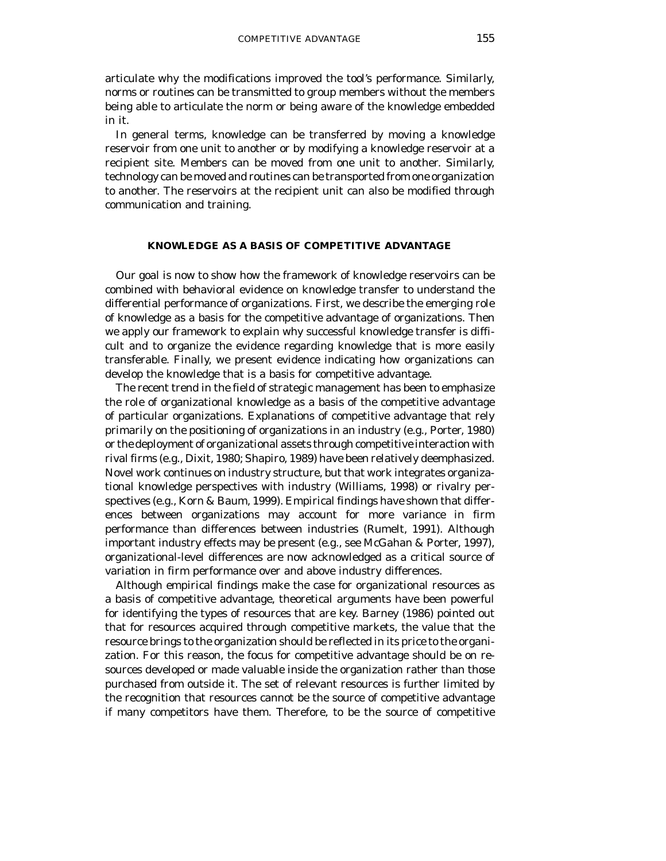articulate why the modifications improved the tool's performance. Similarly, norms or routines can be transmitted to group members without the members being able to articulate the norm or being aware of the knowledge embedded in it.

In general terms, knowledge can be transferred by moving a knowledge reservoir from one unit to another or by modifying a knowledge reservoir at a recipient site. Members can be moved from one unit to another. Similarly, technology can be moved and routines can be transported from one organization to another. The reservoirs at the recipient unit can also be modified through communication and training.

#### **KNOWLEDGE AS A BASIS OF COMPETITIVE ADVANTAGE**

Our goal is now to show how the framework of knowledge reservoirs can be combined with behavioral evidence on knowledge transfer to understand the differential performance of organizations. First, we describe the emerging role of knowledge as a basis for the competitive advantage of organizations. Then we apply our framework to explain why successful knowledge transfer is difficult and to organize the evidence regarding knowledge that is more easily transferable. Finally, we present evidence indicating how organizations can develop the knowledge that is a basis for competitive advantage.

The recent trend in the field of strategic management has been to emphasize the role of organizational knowledge as a basis of the competitive advantage of particular organizations. Explanations of competitive advantage that rely primarily on the positioning of organizations in an industry (e.g., Porter, 1980) or the deployment of organizational assets through competitive interaction with rival firms (e.g., Dixit, 1980; Shapiro, 1989) have been relatively deemphasized. Novel work continues on industry structure, but that work integrates organizational knowledge perspectives with industry (Williams, 1998) or rivalry perspectives (e.g., Korn & Baum, 1999). Empirical findings have shown that differences between organizations may account for more variance in firm performance than differences between industries (Rumelt, 1991). Although important industry effects may be present (e.g., see McGahan & Porter, 1997), organizational-level differences are now acknowledged as a critical source of variation in firm performance over and above industry differences.

Although empirical findings make the case for organizational resources as a basis of competitive advantage, theoretical arguments have been powerful for identifying the types of resources that are key. Barney (1986) pointed out that for resources acquired through competitive markets, the value that the resource brings to the organization should be reflected in its price to the organization. For this reason, the focus for competitive advantage should be on resources developed or made valuable inside the organization rather than those purchased from outside it. The set of relevant resources is further limited by the recognition that resources cannot be the source of competitive advantage if many competitors have them. Therefore, to be the source of competitive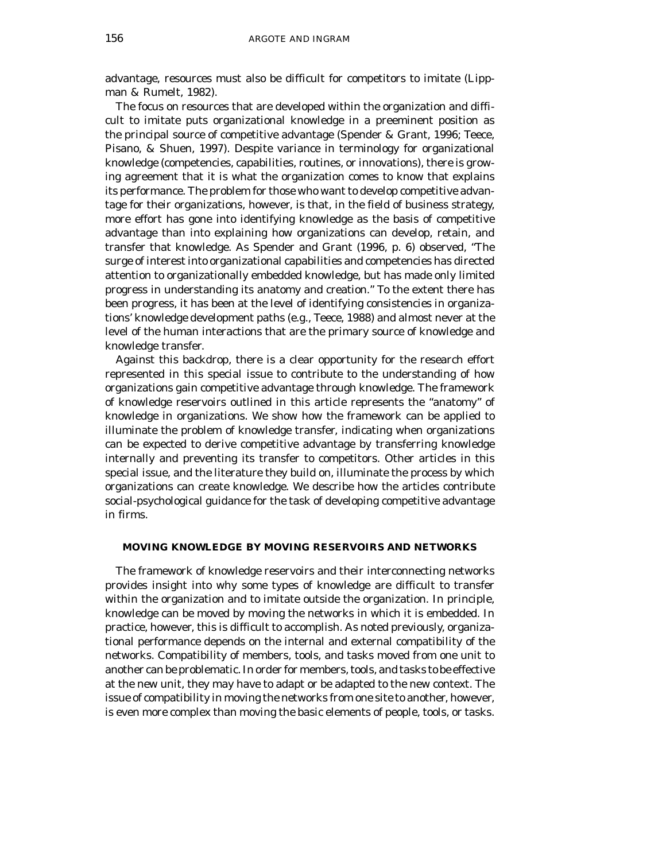advantage, resources must also be difficult for competitors to imitate (Lippman & Rumelt, 1982).

The focus on resources that are developed within the organization and difficult to imitate puts organizational knowledge in a preeminent position as the principal source of competitive advantage (Spender & Grant, 1996; Teece, Pisano, & Shuen, 1997). Despite variance in terminology for organizational knowledge (competencies, capabilities, routines, or innovations), there is growing agreement that it is what the organization comes to know that explains its performance. The problem for those who want to develop competitive advantage for their organizations, however, is that, in the field of business strategy, more effort has gone into identifying knowledge as the basis of competitive advantage than into explaining how organizations can develop, retain, and transfer that knowledge. As Spender and Grant (1996, p. 6) observed, "The surge of interest into organizational capabilities and competencies has directed attention to organizationally embedded knowledge, but has made only limited progress in understanding its anatomy and creation." To the extent there has been progress, it has been at the level of identifying consistencies in organizations' knowledge development paths (e.g., Teece, 1988) and almost never at the level of the human interactions that are the primary source of knowledge and knowledge transfer.

Against this backdrop, there is a clear opportunity for the research effort represented in this special issue to contribute to the understanding of how organizations gain competitive advantage through knowledge. The framework of knowledge reservoirs outlined in this article represents the "anatomy" of knowledge in organizations. We show how the framework can be applied to illuminate the problem of knowledge transfer, indicating when organizations can be expected to derive competitive advantage by transferring knowledge internally and preventing its transfer to competitors. Other articles in this special issue, and the literature they build on, illuminate the process by which organizations can create knowledge. We describe how the articles contribute social-psychological guidance for the task of developing competitive advantage in firms.

#### **MOVING KNOWLEDGE BY MOVING RESERVOIRS AND NETWORKS**

The framework of knowledge reservoirs and their interconnecting networks provides insight into why some types of knowledge are difficult to transfer within the organization and to imitate outside the organization. In principle, knowledge can be moved by moving the networks in which it is embedded. In practice, however, this is difficult to accomplish. As noted previously, organizational performance depends on the internal and external compatibility of the networks. Compatibility of members, tools, and tasks moved from one unit to another can be problematic. In order for members, tools, and tasks to be effective at the new unit, they may have to adapt or be adapted to the new context. The issue of compatibility in moving the networks from one site to another, however, is even more complex than moving the basic elements of people, tools, or tasks.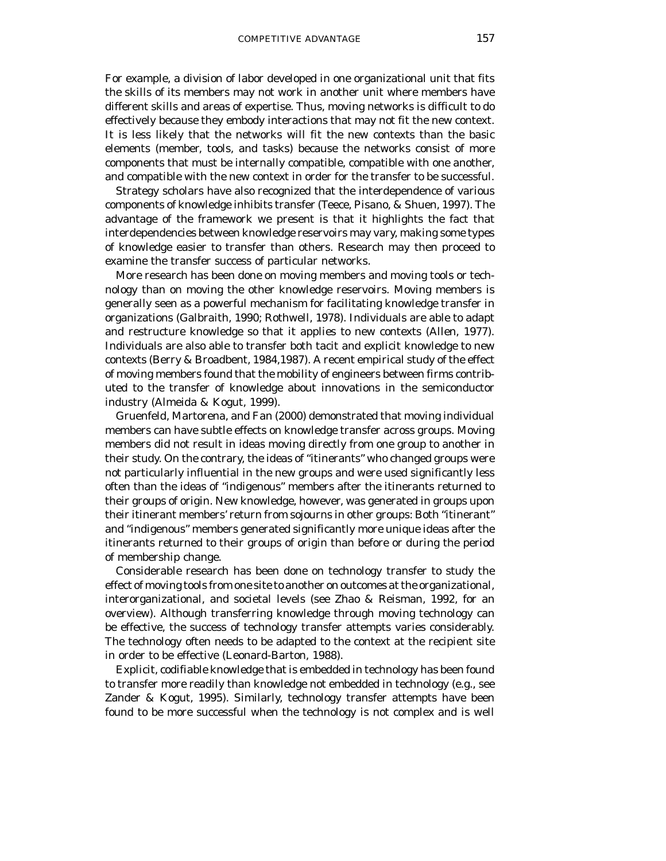For example, a division of labor developed in one organizational unit that fits the skills of its members may not work in another unit where members have different skills and areas of expertise. Thus, moving networks is difficult to do effectively because they embody interactions that may not fit the new context. It is less likely that the networks will fit the new contexts than the basic elements (member, tools, and tasks) because the networks consist of more components that must be internally compatible, compatible with one another, and compatible with the new context in order for the transfer to be successful.

Strategy scholars have also recognized that the interdependence of various components of knowledge inhibits transfer (Teece, Pisano, & Shuen, 1997). The advantage of the framework we present is that it highlights the fact that interdependencies between knowledge reservoirs may vary, making some types of knowledge easier to transfer than others. Research may then proceed to examine the transfer success of particular networks.

More research has been done on moving members and moving tools or technology than on moving the other knowledge reservoirs. Moving members is generally seen as a powerful mechanism for facilitating knowledge transfer in organizations (Galbraith, 1990; Rothwell, 1978). Individuals are able to adapt and restructure knowledge so that it applies to new contexts (Allen, 1977). Individuals are also able to transfer both tacit and explicit knowledge to new contexts (Berry & Broadbent, 1984,1987). A recent empirical study of the effect of moving members found that the mobility of engineers between firms contributed to the transfer of knowledge about innovations in the semiconductor industry (Almeida & Kogut, 1999).

Gruenfeld, Martorena, and Fan (2000) demonstrated that moving individual members can have subtle effects on knowledge transfer across groups. Moving members did not result in ideas moving directly from one group to another in their study. On the contrary, the ideas of "itinerants" who changed groups were not particularly influential in the new groups and were used significantly less often than the ideas of "indigenous" members after the itinerants returned to their groups of origin. New knowledge, however, was generated in groups upon their itinerant members' return from sojourns in other groups: Both "itinerant" and "indigenous" members generated significantly more unique ideas after the itinerants returned to their groups of origin than before or during the period of membership change.

Considerable research has been done on technology transfer to study the effect of moving tools from one site to another on outcomes at the organizational, interorganizational, and societal levels (see Zhao & Reisman, 1992, for an overview). Although transferring knowledge through moving technology can be effective, the success of technology transfer attempts varies considerably. The technology often needs to be adapted to the context at the recipient site in order to be effective (Leonard-Barton, 1988).

Explicit, codifiable knowledge that is embedded in technology has been found to transfer more readily than knowledge not embedded in technology (e.g., see Zander & Kogut, 1995). Similarly, technology transfer attempts have been found to be more successful when the technology is not complex and is well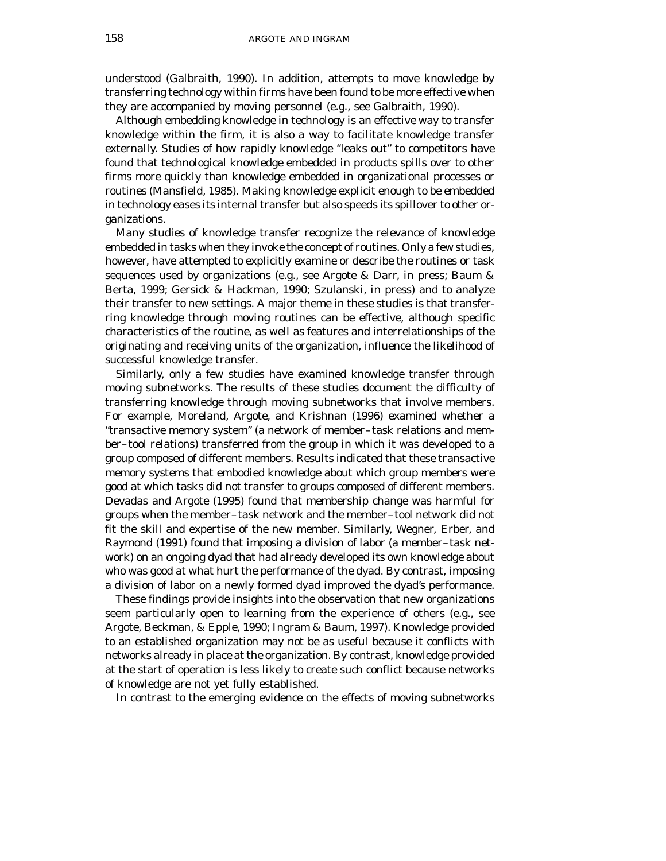understood (Galbraith, 1990). In addition, attempts to move knowledge by transferring technology within firms have been found to be more effective when they are accompanied by moving personnel (e.g., see Galbraith, 1990).

Although embedding knowledge in technology is an effective way to transfer knowledge within the firm, it is also a way to facilitate knowledge transfer externally. Studies of how rapidly knowledge "leaks out" to competitors have found that technological knowledge embedded in products spills over to other firms more quickly than knowledge embedded in organizational processes or routines (Mansfield, 1985). Making knowledge explicit enough to be embedded in technology eases its internal transfer but also speeds its spillover to other organizations.

Many studies of knowledge transfer recognize the relevance of knowledge embedded in tasks when they invoke the concept of routines. Only a few studies, however, have attempted to explicitly examine or describe the routines or task sequences used by organizations (e.g., see Argote & Darr, in press; Baum & Berta, 1999; Gersick & Hackman, 1990; Szulanski, in press) and to analyze their transfer to new settings. A major theme in these studies is that transferring knowledge through moving routines can be effective, although specific characteristics of the routine, as well as features and interrelationships of the originating and receiving units of the organization, influence the likelihood of successful knowledge transfer.

Similarly, only a few studies have examined knowledge transfer through moving subnetworks. The results of these studies document the difficulty of transferring knowledge through moving subnetworks that involve members. For example, Moreland, Argote, and Krishnan (1996) examined whether a "transactive memory system" (a network of member–task relations and member–tool relations) transferred from the group in which it was developed to a group composed of different members. Results indicated that these transactive memory systems that embodied knowledge about which group members were good at which tasks did not transfer to groups composed of different members. Devadas and Argote (1995) found that membership change was harmful for groups when the member–task network and the member–tool network did not fit the skill and expertise of the new member. Similarly, Wegner, Erber, and Raymond (1991) found that imposing a division of labor (a member–task network) on an ongoing dyad that had already developed its own knowledge about who was good at what hurt the performance of the dyad. By contrast, imposing a division of labor on a newly formed dyad improved the dyad's performance.

These findings provide insights into the observation that new organizations seem particularly open to learning from the experience of others (e.g., see Argote, Beckman, & Epple, 1990; Ingram & Baum, 1997). Knowledge provided to an established organization may not be as useful because it conflicts with networks already in place at the organization. By contrast, knowledge provided at the start of operation is less likely to create such conflict because networks of knowledge are not yet fully established.

In contrast to the emerging evidence on the effects of moving subnetworks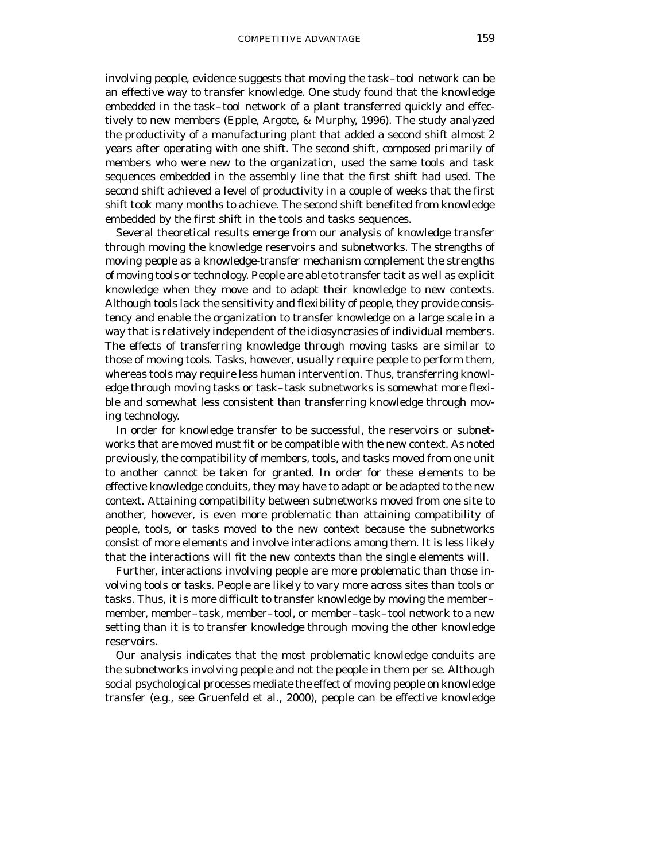involving people, evidence suggests that moving the task–tool network can be an effective way to transfer knowledge. One study found that the knowledge embedded in the task–tool network of a plant transferred quickly and effectively to new members (Epple, Argote, & Murphy, 1996). The study analyzed the productivity of a manufacturing plant that added a second shift almost 2 years after operating with one shift. The second shift, composed primarily of members who were new to the organization, used the same tools and task sequences embedded in the assembly line that the first shift had used. The second shift achieved a level of productivity in a couple of weeks that the first shift took many months to achieve. The second shift benefited from knowledge embedded by the first shift in the tools and tasks sequences.

Several theoretical results emerge from our analysis of knowledge transfer through moving the knowledge reservoirs and subnetworks. The strengths of moving people as a knowledge-transfer mechanism complement the strengths of moving tools or technology. People are able to transfer tacit as well as explicit knowledge when they move and to adapt their knowledge to new contexts. Although tools lack the sensitivity and flexibility of people, they provide consistency and enable the organization to transfer knowledge on a large scale in a way that is relatively independent of the idiosyncrasies of individual members. The effects of transferring knowledge through moving tasks are similar to those of moving tools. Tasks, however, usually require people to perform them, whereas tools may require less human intervention. Thus, transferring knowledge through moving tasks or task–task subnetworks is somewhat more flexible and somewhat less consistent than transferring knowledge through moving technology.

In order for knowledge transfer to be successful, the reservoirs or subnetworks that are moved must fit or be compatible with the new context. As noted previously, the compatibility of members, tools, and tasks moved from one unit to another cannot be taken for granted. In order for these elements to be effective knowledge conduits, they may have to adapt or be adapted to the new context. Attaining compatibility between subnetworks moved from one site to another, however, is even more problematic than attaining compatibility of people, tools, or tasks moved to the new context because the subnetworks consist of more elements and involve interactions among them. It is less likely that the interactions will fit the new contexts than the single elements will.

Further, interactions involving people are more problematic than those involving tools or tasks. People are likely to vary more across sites than tools or tasks. Thus, it is more difficult to transfer knowledge by moving the member– member, member–task, member–tool, or member–task–tool network to a new setting than it is to transfer knowledge through moving the other knowledge reservoirs.

Our analysis indicates that the most problematic knowledge conduits are the subnetworks involving people and not the people in them per se. Although social psychological processes mediate the effect of moving people on knowledge transfer (e.g., see Gruenfeld et al., 2000), people can be effective knowledge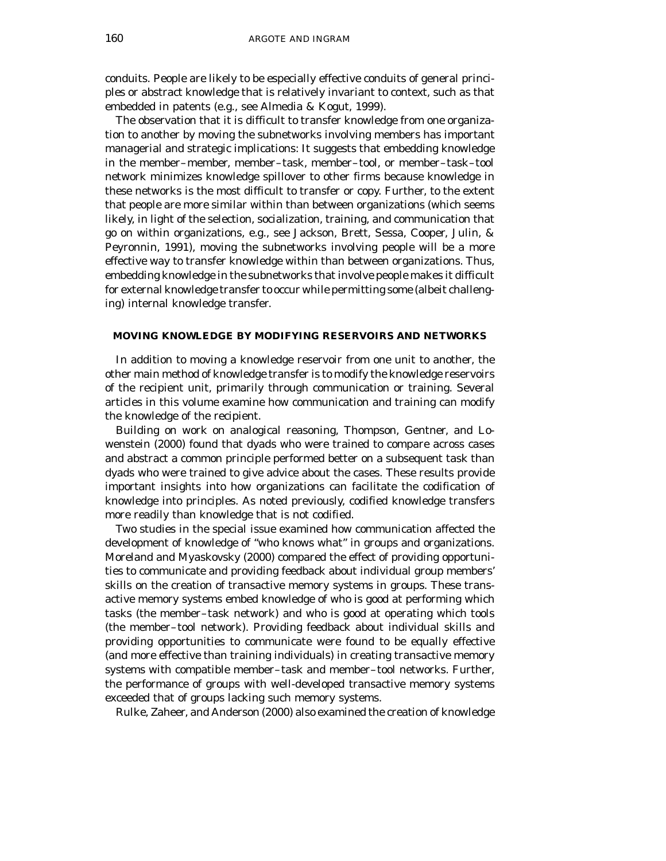conduits. People are likely to be especially effective conduits of general principles or abstract knowledge that is relatively invariant to context, such as that embedded in patents (e.g., see Almedia & Kogut, 1999).

The observation that it is difficult to transfer knowledge from one organization to another by moving the subnetworks involving members has important managerial and strategic implications: It suggests that embedding knowledge in the member–member, member–task, member–tool, or member–task–tool network minimizes knowledge spillover to other firms because knowledge in these networks is the most difficult to transfer or copy. Further, to the extent that people are more similar within than between organizations (which seems likely, in light of the selection, socialization, training, and communication that go on within organizations, e.g., see Jackson, Brett, Sessa, Cooper, Julin, & Peyronnin, 1991), moving the subnetworks involving people will be a more effective way to transfer knowledge within than between organizations. Thus, embedding knowledge in the subnetworks that involve people makes it difficult for external knowledge transfer to occur while permitting some (albeit challenging) internal knowledge transfer.

### **MOVING KNOWLEDGE BY MODIFYING RESERVOIRS AND NETWORKS**

In addition to moving a knowledge reservoir from one unit to another, the other main method of knowledge transfer is to modify the knowledge reservoirs of the recipient unit, primarily through communication or training. Several articles in this volume examine how communication and training can modify the knowledge of the recipient.

Building on work on analogical reasoning, Thompson, Gentner, and Lowenstein (2000) found that dyads who were trained to compare across cases and abstract a common principle performed better on a subsequent task than dyads who were trained to give advice about the cases. These results provide important insights into how organizations can facilitate the codification of knowledge into principles. As noted previously, codified knowledge transfers more readily than knowledge that is not codified.

Two studies in the special issue examined how communication affected the development of knowledge of "who knows what" in groups and organizations. Moreland and Myaskovsky (2000) compared the effect of providing opportunities to communicate and providing feedback about individual group members' skills on the creation of transactive memory systems in groups. These transactive memory systems embed knowledge of who is good at performing which tasks (the member–task network) and who is good at operating which tools (the member–tool network). Providing feedback about individual skills and providing opportunities to communicate were found to be equally effective (and more effective than training individuals) in creating transactive memory systems with compatible member–task and member–tool networks. Further, the performance of groups with well-developed transactive memory systems exceeded that of groups lacking such memory systems.

Rulke, Zaheer, and Anderson (2000) also examined the creation of knowledge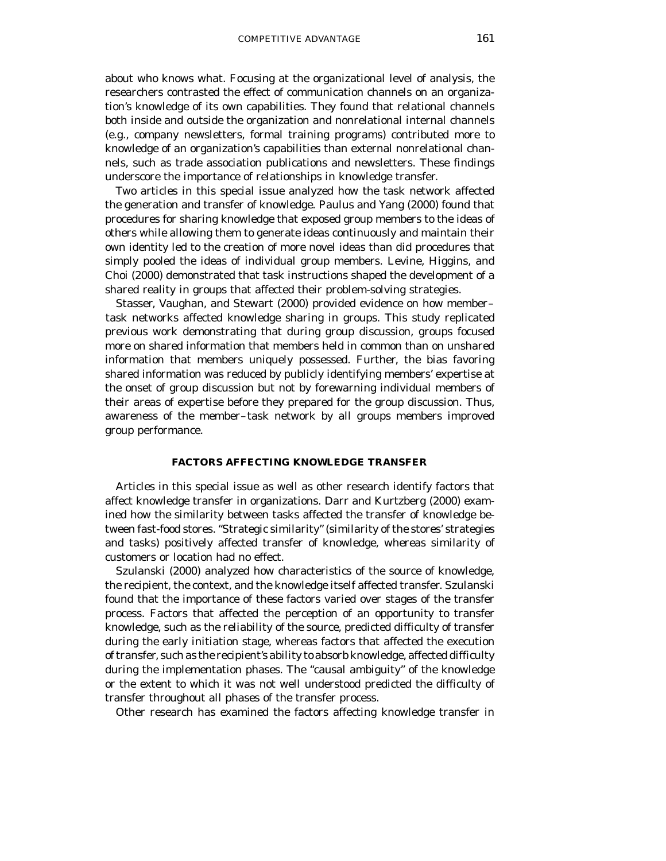about who knows what. Focusing at the organizational level of analysis, the researchers contrasted the effect of communication channels on an organization's knowledge of its own capabilities. They found that relational channels both inside and outside the organization and nonrelational internal channels (e.g., company newsletters, formal training programs) contributed more to knowledge of an organization's capabilities than external nonrelational channels, such as trade association publications and newsletters. These findings underscore the importance of relationships in knowledge transfer.

Two articles in this special issue analyzed how the task network affected the generation and transfer of knowledge. Paulus and Yang (2000) found that procedures for sharing knowledge that exposed group members to the ideas of others while allowing them to generate ideas continuously and maintain their own identity led to the creation of more novel ideas than did procedures that simply pooled the ideas of individual group members. Levine, Higgins, and Choi (2000) demonstrated that task instructions shaped the development of a shared reality in groups that affected their problem-solving strategies.

Stasser, Vaughan, and Stewart (2000) provided evidence on how member– task networks affected knowledge sharing in groups. This study replicated previous work demonstrating that during group discussion, groups focused more on shared information that members held in common than on unshared information that members uniquely possessed. Further, the bias favoring shared information was reduced by publicly identifying members' expertise at the onset of group discussion but not by forewarning individual members of their areas of expertise before they prepared for the group discussion. Thus, awareness of the member–task network by all groups members improved group performance.

#### **FACTORS AFFECTING KNOWLEDGE TRANSFER**

Articles in this special issue as well as other research identify factors that affect knowledge transfer in organizations. Darr and Kurtzberg (2000) examined how the similarity between tasks affected the transfer of knowledge between fast-food stores. "Strategic similarity" (similarity of the stores' strategies and tasks) positively affected transfer of knowledge, whereas similarity of customers or location had no effect.

Szulanski (2000) analyzed how characteristics of the source of knowledge, the recipient, the context, and the knowledge itself affected transfer. Szulanski found that the importance of these factors varied over stages of the transfer process. Factors that affected the perception of an opportunity to transfer knowledge, such as the reliability of the source, predicted difficulty of transfer during the early initiation stage, whereas factors that affected the execution of transfer, such as the recipient's ability to absorb knowledge, affected difficulty during the implementation phases. The "causal ambiguity" of the knowledge or the extent to which it was not well understood predicted the difficulty of transfer throughout all phases of the transfer process.

Other research has examined the factors affecting knowledge transfer in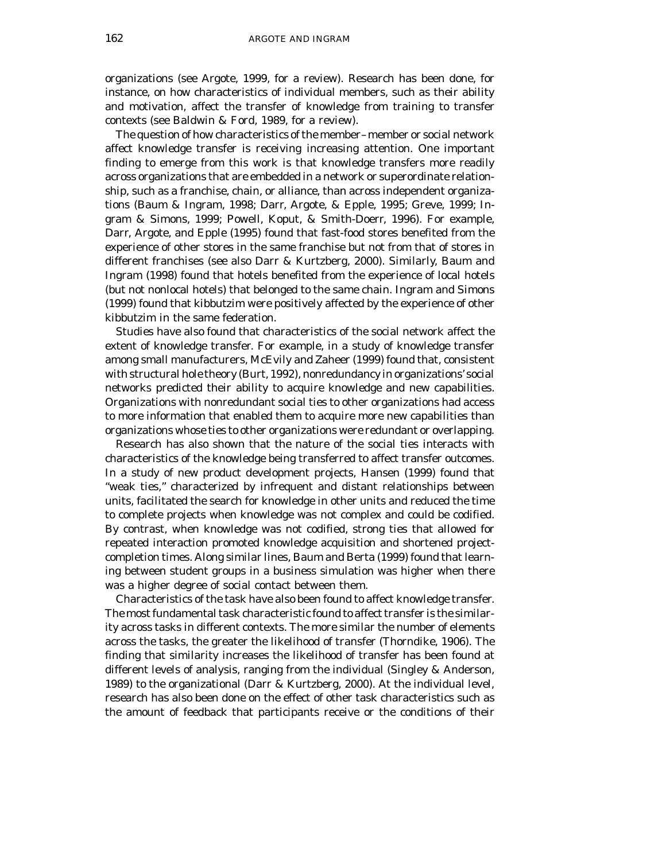organizations (see Argote, 1999, for a review). Research has been done, for instance, on how characteristics of individual members, such as their ability and motivation, affect the transfer of knowledge from training to transfer contexts (see Baldwin & Ford, 1989, for a review).

The question of how characteristics of the member–member or social network affect knowledge transfer is receiving increasing attention. One important finding to emerge from this work is that knowledge transfers more readily across organizations that are embedded in a network or superordinate relationship, such as a franchise, chain, or alliance, than across independent organizations (Baum & Ingram, 1998; Darr, Argote, & Epple, 1995; Greve, 1999; Ingram & Simons, 1999; Powell, Koput, & Smith-Doerr, 1996). For example, Darr, Argote, and Epple (1995) found that fast-food stores benefited from the experience of other stores in the same franchise but not from that of stores in different franchises (see also Darr & Kurtzberg, 2000). Similarly, Baum and Ingram (1998) found that hotels benefited from the experience of local hotels (but not nonlocal hotels) that belonged to the same chain. Ingram and Simons (1999) found that kibbutzim were positively affected by the experience of other kibbutzim in the same federation.

Studies have also found that characteristics of the social network affect the extent of knowledge transfer. For example, in a study of knowledge transfer among small manufacturers, McEvily and Zaheer (1999) found that, consistent with structural hole theory (Burt, 1992), nonredundancy in organizations' social networks predicted their ability to acquire knowledge and new capabilities. Organizations with nonredundant social ties to other organizations had access to more information that enabled them to acquire more new capabilities than organizations whose ties to other organizations were redundant or overlapping.

Research has also shown that the nature of the social ties interacts with characteristics of the knowledge being transferred to affect transfer outcomes. In a study of new product development projects, Hansen (1999) found that "weak ties," characterized by infrequent and distant relationships between units, facilitated the search for knowledge in other units and reduced the time to complete projects when knowledge was not complex and could be codified. By contrast, when knowledge was not codified, strong ties that allowed for repeated interaction promoted knowledge acquisition and shortened projectcompletion times. Along similar lines, Baum and Berta (1999) found that learning between student groups in a business simulation was higher when there was a higher degree of social contact between them.

Characteristics of the task have also been found to affect knowledge transfer. The most fundamental task characteristic found to affect transfer is the similarity across tasks in different contexts. The more similar the number of elements across the tasks, the greater the likelihood of transfer (Thorndike, 1906). The finding that similarity increases the likelihood of transfer has been found at different levels of analysis, ranging from the individual (Singley & Anderson, 1989) to the organizational (Darr & Kurtzberg, 2000). At the individual level, research has also been done on the effect of other task characteristics such as the amount of feedback that participants receive or the conditions of their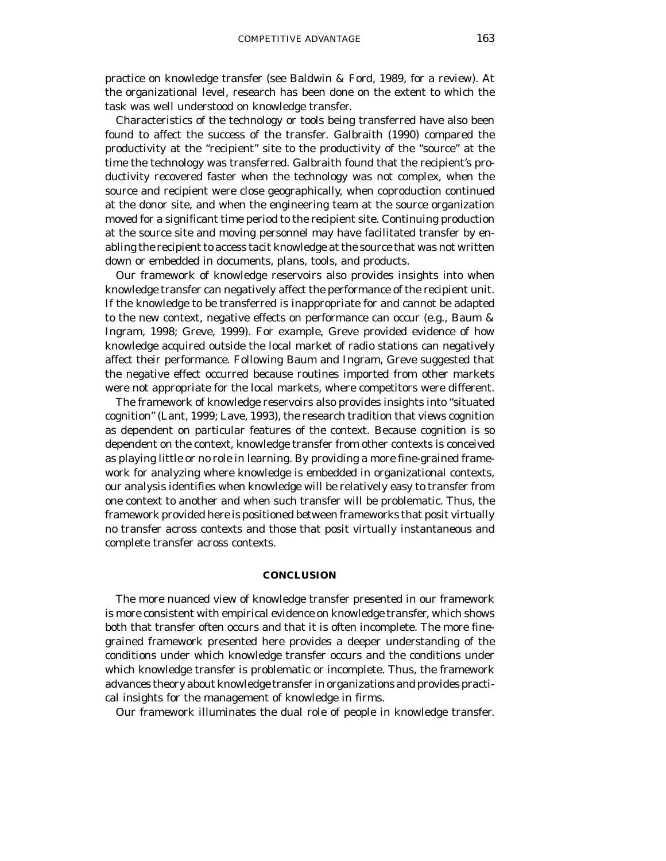practice on knowledge transfer (see Baldwin & Ford, 1989, for a review). At the organizational level, research has been done on the extent to which the task was well understood on knowledge transfer.

Characteristics of the technology or tools being transferred have also been found to affect the success of the transfer. Galbraith (1990) compared the productivity at the "recipient" site to the productivity of the "source" at the time the technology was transferred. Galbraith found that the recipient's productivity recovered faster when the technology was not complex, when the source and recipient were close geographically, when coproduction continued at the donor site, and when the engineering team at the source organization moved for a significant time period to the recipient site. Continuing production at the source site and moving personnel may have facilitated transfer by enabling the recipient to access tacit knowledge at the source that was not written down or embedded in documents, plans, tools, and products.

Our framework of knowledge reservoirs also provides insights into when knowledge transfer can negatively affect the performance of the recipient unit. If the knowledge to be transferred is inappropriate for and cannot be adapted to the new context, negative effects on performance can occur (e.g., Baum & Ingram, 1998; Greve, 1999). For example, Greve provided evidence of how knowledge acquired outside the local market of radio stations can negatively affect their performance. Following Baum and Ingram, Greve suggested that the negative effect occurred because routines imported from other markets were not appropriate for the local markets, where competitors were different.

The framework of knowledge reservoirs also provides insights into "situated cognition" (Lant, 1999; Lave, 1993), the research tradition that views cognition as dependent on particular features of the context. Because cognition is so dependent on the context, knowledge transfer from other contexts is conceived as playing little or no role in learning. By providing a more fine-grained framework for analyzing where knowledge is embedded in organizational contexts, our analysis identifies when knowledge will be relatively easy to transfer from one context to another and when such transfer will be problematic. Thus, the framework provided here is positioned between frameworks that posit virtually no transfer across contexts and those that posit virtually instantaneous and complete transfer across contexts.

#### **CONCLUSION**

The more nuanced view of knowledge transfer presented in our framework is more consistent with empirical evidence on knowledge transfer, which shows both that transfer often occurs and that it is often incomplete. The more finegrained framework presented here provides a deeper understanding of the conditions under which knowledge transfer occurs and the conditions under which knowledge transfer is problematic or incomplete. Thus, the framework advances theory about knowledge transfer in organizations and provides practical insights for the management of knowledge in firms.

Our framework illuminates the dual role of people in knowledge transfer.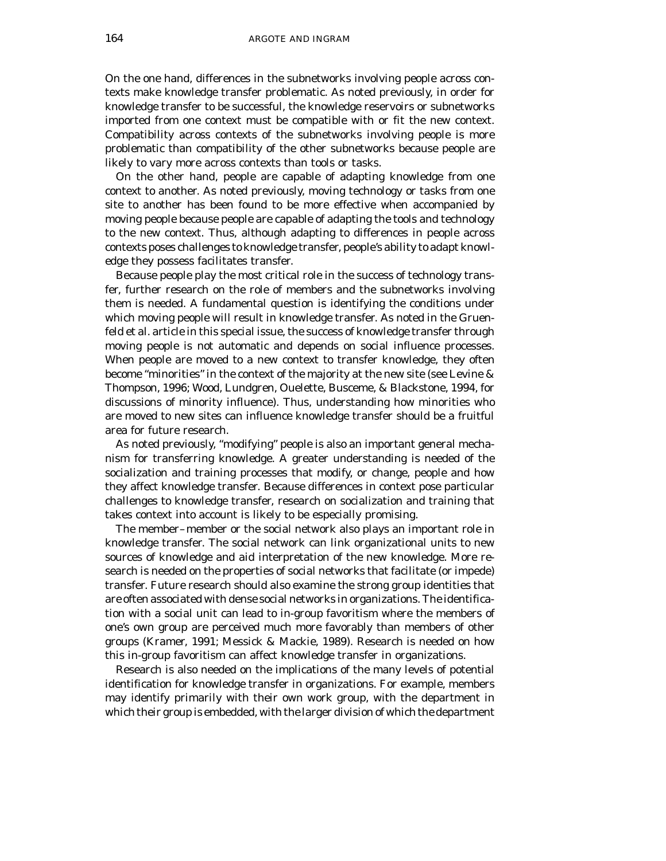On the one hand, differences in the subnetworks involving people across contexts make knowledge transfer problematic. As noted previously, in order for knowledge transfer to be successful, the knowledge reservoirs or subnetworks imported from one context must be compatible with or fit the new context. Compatibility across contexts of the subnetworks involving people is more problematic than compatibility of the other subnetworks because people are likely to vary more across contexts than tools or tasks.

On the other hand, people are capable of adapting knowledge from one context to another. As noted previously, moving technology or tasks from one site to another has been found to be more effective when accompanied by moving people because people are capable of adapting the tools and technology to the new context. Thus, although adapting to differences in people across contexts poses challenges to knowledge transfer, people's ability to adapt knowledge they possess facilitates transfer.

Because people play the most critical role in the success of technology transfer, further research on the role of members and the subnetworks involving them is needed. A fundamental question is identifying the conditions under which moving people will result in knowledge transfer. As noted in the Gruenfeld et al. article in this special issue, the success of knowledge transfer through moving people is not automatic and depends on social influence processes. When people are moved to a new context to transfer knowledge, they often become "minorities" in the context of the majority at the new site (see Levine & Thompson, 1996; Wood, Lundgren, Ouelette, Busceme, & Blackstone, 1994, for discussions of minority influence). Thus, understanding how minorities who are moved to new sites can influence knowledge transfer should be a fruitful area for future research.

As noted previously, "modifying" people is also an important general mechanism for transferring knowledge. A greater understanding is needed of the socialization and training processes that modify, or change, people and how they affect knowledge transfer. Because differences in context pose particular challenges to knowledge transfer, research on socialization and training that takes context into account is likely to be especially promising.

The member–member or the social network also plays an important role in knowledge transfer. The social network can link organizational units to new sources of knowledge and aid interpretation of the new knowledge. More research is needed on the properties of social networks that facilitate (or impede) transfer. Future research should also examine the strong group identities that are often associated with dense social networks in organizations. The identification with a social unit can lead to in-group favoritism where the members of one's own group are perceived much more favorably than members of other groups (Kramer, 1991; Messick & Mackie, 1989). Research is needed on how this in-group favoritism can affect knowledge transfer in organizations.

Research is also needed on the implications of the many levels of potential identification for knowledge transfer in organizations. For example, members may identify primarily with their own work group, with the department in which their group is embedded, with the larger division of which the department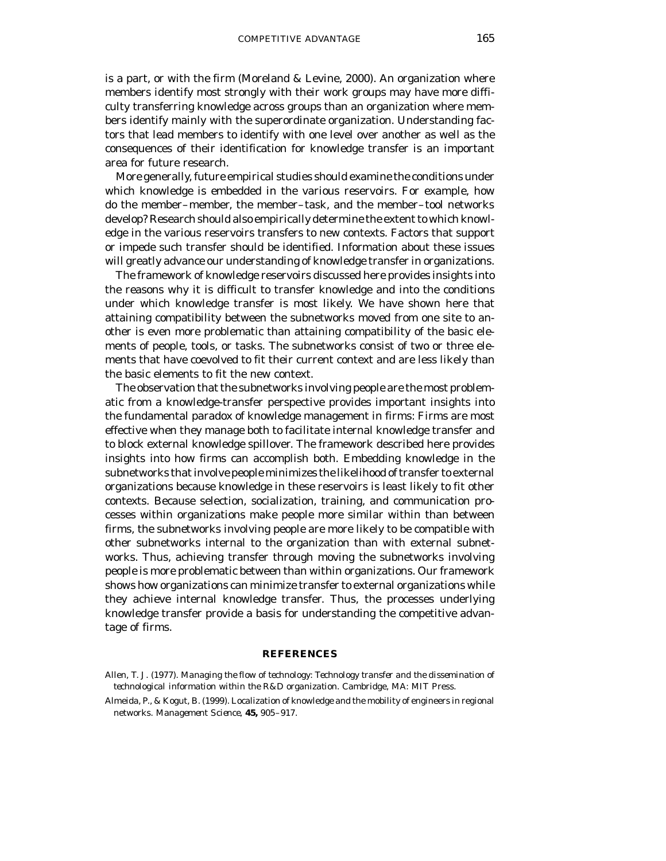is a part, or with the firm (Moreland & Levine, 2000). An organization where members identify most strongly with their work groups may have more difficulty transferring knowledge across groups than an organization where members identify mainly with the superordinate organization. Understanding factors that lead members to identify with one level over another as well as the consequences of their identification for knowledge transfer is an important area for future research.

More generally, future empirical studies should examine the conditions under which knowledge is embedded in the various reservoirs. For example, how do the member–member, the member–task, and the member–tool networks develop? Research should also empirically determine the extent to which knowledge in the various reservoirs transfers to new contexts. Factors that support or impede such transfer should be identified. Information about these issues will greatly advance our understanding of knowledge transfer in organizations.

The framework of knowledge reservoirs discussed here provides insights into the reasons why it is difficult to transfer knowledge and into the conditions under which knowledge transfer is most likely. We have shown here that attaining compatibility between the subnetworks moved from one site to another is even more problematic than attaining compatibility of the basic elements of people, tools, or tasks. The subnetworks consist of two or three elements that have coevolved to fit their current context and are less likely than the basic elements to fit the new context.

The observation that the subnetworks involving people are the most problematic from a knowledge-transfer perspective provides important insights into the fundamental paradox of knowledge management in firms: Firms are most effective when they manage both to facilitate internal knowledge transfer and to block external knowledge spillover. The framework described here provides insights into how firms can accomplish both. Embedding knowledge in the subnetworks that involve people minimizes the likelihood of transfer to external organizations because knowledge in these reservoirs is least likely to fit other contexts. Because selection, socialization, training, and communication processes within organizations make people more similar within than between firms, the subnetworks involving people are more likely to be compatible with other subnetworks internal to the organization than with external subnetworks. Thus, achieving transfer through moving the subnetworks involving people is more problematic between than within organizations. Our framework shows how organizations can minimize transfer to external organizations while they achieve internal knowledge transfer. Thus, the processes underlying knowledge transfer provide a basis for understanding the competitive advantage of firms.

#### **REFERENCES**

Allen, T. J. (1977). *Managing the flow of technology: Technology transfer and the dissemination of technological information within the R&D organization*. Cambridge, MA: MIT Press.

Almeida, P., & Kogut, B. (1999). Localization of knowledge and the mobility of engineers in regional networks. *Management Science*, **45,** 905–917.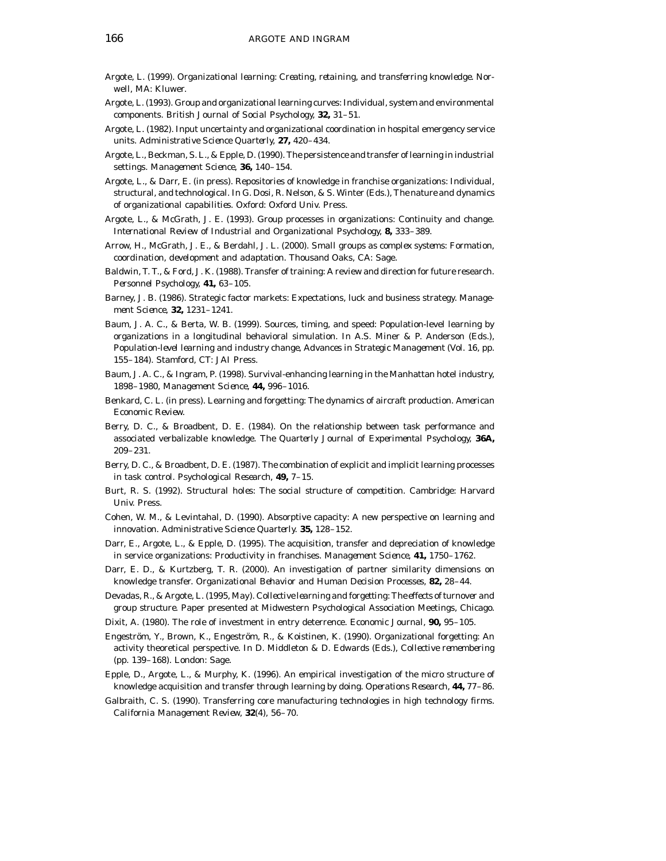- Argote, L. (1999). *Organizational learning: Creating, retaining, and transferring knowledge*. Norwell, MA: Kluwer.
- Argote, L. (1993). Group and organizational learning curves: Individual, system and environmental components. *British Journal of Social Psychology*, **32,** 31–51.
- Argote, L. (1982). Input uncertainty and organizational coordination in hospital emergency service units. *Administrative Science Quarterly*, **27,** 420–434.
- Argote, L., Beckman, S. L., & Epple, D. (1990). The persistence and transfer of learning in industrial settings. *Management Science*, **36,** 140–154.
- Argote, L., & Darr, E. (in press). Repositories of knowledge in franchise organizations: Individual, structural, and technological. In G. Dosi, R. Nelson, & S. Winter (Eds.), *The nature and dynamics of organizational capabilities*. Oxford: Oxford Univ. Press.
- Argote, L., & McGrath, J. E. (1993). Group processes in organizations: Continuity and change. *International Review of Industrial and Organizational Psychology*, **8,** 333–389.
- Arrow, H., McGrath, J. E., & Berdahl, J. L. (2000). *Small groups as complex systems: Formation, coordination, development and adaptation*. Thousand Oaks, CA: Sage.
- Baldwin, T. T., & Ford, J. K. (1988). Transfer of training: A review and direction for future research. *Personnel Psychology*, **41,** 63–105.
- Barney, J. B. (1986). Strategic factor markets: Expectations, luck and business strategy. *Management Science*, **32,** 1231–1241.
- Baum, J. A. C., & Berta, W. B. (1999). Sources, timing, and speed: Population-level learning by organizations in a longitudinal behavioral simulation. In A.S. Miner & P. Anderson (Eds.), *Population-level learning and industry change, Advances in Strategic Management* (Vol. 16, pp. 155–184). Stamford, CT: JAI Press.
- Baum, J. A. C., & Ingram, P. (1998). Survival-enhancing learning in the Manhattan hotel industry, 1898–1980, *Management Science*, **44,** 996–1016.
- Benkard, C. L. (in press). Learning and forgetting: The dynamics of aircraft production. *American Economic Review*.
- Berry, D. C., & Broadbent, D. E. (1984). On the relationship between task performance and associated verbalizable knowledge. *The Quarterly Journal of Experimental Psychology*, **36A,** 209–231.
- Berry, D. C., & Broadbent, D. E. (1987). The combination of explicit and implicit learning processes in task control. *Psychological Research*, **49,** 7–15.
- Burt, R. S. (1992). *Structural holes: The social structure of competition*. Cambridge: Harvard Univ. Press.
- Cohen, W. M., & Levintahal, D. (1990). Absorptive capacity: A new perspective on learning and innovation. *Administrative Science Quarterly*. **35,** 128–152.
- Darr, E., Argote, L., & Epple, D. (1995). The acquisition, transfer and depreciation of knowledge in service organizations: Productivity in franchises. *Management Science*, **41,** 1750–1762.
- Darr, E. D., & Kurtzberg, T. R. (2000). An investigation of partner similarity dimensions on knowledge transfer. *Organizational Behavior and Human Decision Processes*, **82,** 28–44.
- Devadas, R., & Argote, L. (1995, May). *Collective learning and forgetting: The effects of turnover and group structure*. Paper presented at Midwestern Psychological Association Meetings, Chicago.
- Dixit, A. (1980). The role of investment in entry deterrence. *Economic Journal*, **90,** 95–105.
- Engeström, Y., Brown, K., Engeström, R., & Koistinen, K. (1990). Organizational forgetting: An activity theoretical perspective. In D. Middleton & D. Edwards (Eds.), *Collective remembering* (pp. 139–168). London: Sage.
- Epple, D., Argote, L., & Murphy, K. (1996). An empirical investigation of the micro structure of knowledge acquisition and transfer through learning by doing. *Operations Research*, **44,** 77–86.
- Galbraith, C. S. (1990). Transferring core manufacturing technologies in high technology firms. *California Management Review*, **32**(4), 56–70.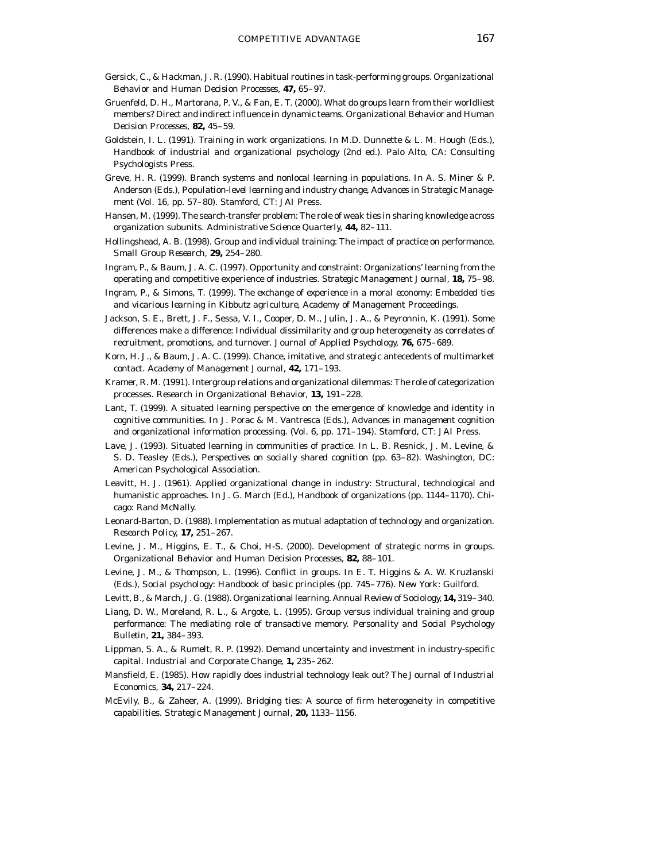- Gersick, C., & Hackman, J. R. (1990). Habitual routines in task-performing groups. *Organizational Behavior and Human Decision Processes*, **47,** 65–97.
- Gruenfeld, D. H., Martorana, P. V., & Fan, E. T. (2000). What do groups learn from their worldliest members? Direct and indirect influence in dynamic teams. *Organizational Behavior and Human Decision Processes*, **82,** 45–59.
- Goldstein, I. L. (1991). Training in work organizations. In M.D. Dunnette & L. M. Hough (Eds.), *Handbook of industrial and organizational psychology* (2nd ed.). Palo Alto, CA: Consulting Psychologists Press.
- Greve, H. R. (1999). Branch systems and nonlocal learning in populations. In A. S. Miner & P. Anderson (Eds.), *Population-level learning and industry change, Advances in Strategic Management* (Vol. 16, pp. 57–80). Stamford, CT: JAI Press.
- Hansen, M. (1999). The search-transfer problem: The role of weak ties in sharing knowledge across organization subunits. *Administrative Science Quarterly*, **44,** 82–111.
- Hollingshead, A. B. (1998). Group and individual training: The impact of practice on performance. *Small Group Research*, **29,** 254–280.
- Ingram, P., & Baum, J. A. C. (1997). Opportunity and constraint: Organizations' learning from the operating and competitive experience of industries. *Strategic Management Journal*, **18,** 75–98.
- Ingram, P., & Simons, T. (1999). *The exchange of experience in a moral economy: Embedded ties and vicarious learning in Kibbutz agriculture*, Academy of Management Proceedings.
- Jackson, S. E., Brett, J. F., Sessa, V. I., Cooper, D. M., Julin, J. A., & Peyronnin, K. (1991). Some differences make a difference: Individual dissimilarity and group heterogeneity as correlates of recruitment, promotions, and turnover. *Journal of Applied Psychology*, **76,** 675–689.
- Korn, H. J., & Baum, J. A. C. (1999). Chance, imitative, and strategic antecedents of multimarket contact. *Academy of Management Journal*, **42,** 171–193.
- Kramer, R. M. (1991). Intergroup relations and organizational dilemmas: The role of categorization processes. *Research in Organizational Behavior*, **13,** 191–228.
- Lant, T. (1999). A situated learning perspective on the emergence of knowledge and identity in cognitive communities. In J. Porac & M. Vantresca (Eds.), *Advances in management cognition and organizational information processing*. (Vol. 6, pp. 171–194). Stamford, CT: JAI Press.
- Lave, J. (1993). Situated learning in communities of practice. In L. B. Resnick, J. M. Levine, & S. D. Teasley (Eds.), *Perspectives on socially shared cognition* (pp. 63–82). Washington, DC: American Psychological Association.
- Leavitt, H. J. (1961). Applied organizational change in industry: Structural, technological and humanistic approaches. In J. G. March (Ed.), *Handbook of organizations* (pp. 1144–1170). Chicago: Rand McNally.
- Leonard-Barton, D. (1988). Implementation as mutual adaptation of technology and organization. *Research Policy*, **17,** 251–267.
- Levine, J. M., Higgins, E. T., & Choi, H-S. (2000). Development of strategic norms in groups. *Organizational Behavior and Human Decision Processes*, **82,** 88–101.
- Levine, J. M., & Thompson, L. (1996). Conflict in groups. In E. T. Higgins & A. W. Kruzlanski (Eds.), *Social psychology: Handbook of basic principles* (pp. 745–776). New York: Guilford.
- Levitt, B., & March, J. G. (1988). Organizational learning. *Annual Review of Sociology*, **14,** 319–340.
- Liang, D. W., Moreland, R. L., & Argote, L. (1995). Group versus individual training and group performance: The mediating role of transactive memory. *Personality and Social Psychology Bulletin*, **21,** 384–393.
- Lippman, S. A., & Rumelt, R. P. (1992). Demand uncertainty and investment in industry-specific capital. *Industrial and Corporate Change*, **1,** 235–262.
- Mansfield, E. (1985). How rapidly does industrial technology leak out? *The Journal of Industrial Economics*, **34,** 217–224.
- McEvily, B., & Zaheer, A. (1999). Bridging ties: A source of firm heterogeneity in competitive capabilities. *Strategic Management Journal*, **20,** 1133–1156.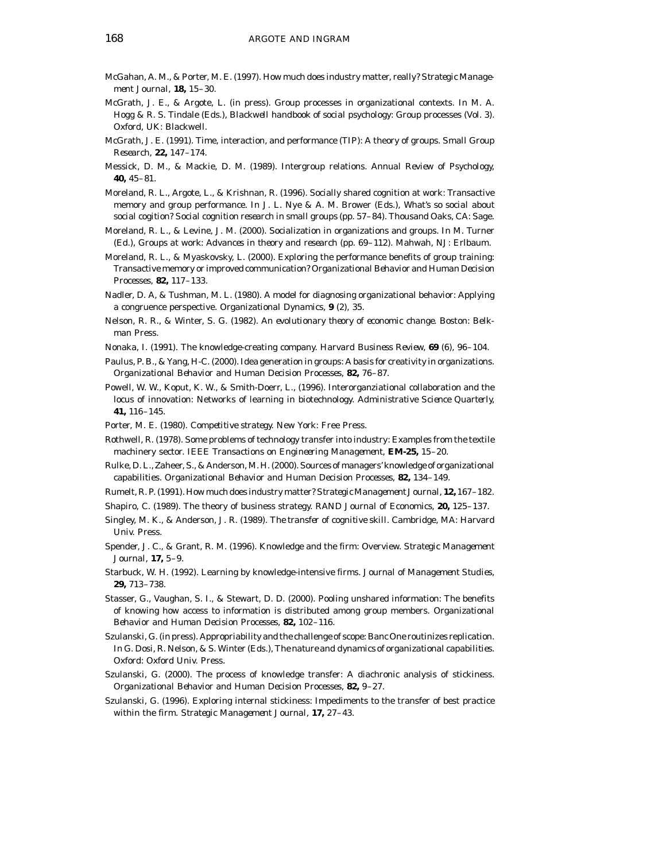- McGahan, A. M., & Porter, M. E. (1997). How much does industry matter, really? *Strategic Management Journal*, **18,** 15–30.
- McGrath, J. E., & Argote, L. (in press). Group processes in organizational contexts. In M. A. Hogg & R. S. Tindale (Eds.), *Blackwell handbook of social psychology*: Group processes (Vol. 3). Oxford, UK: Blackwell.
- McGrath, J. E. (1991). Time, interaction, and performance (TIP): A theory of groups. *Small Group Research*, **22,** 147–174.
- Messick, D. M., & Mackie, D. M. (1989). Intergroup relations. *Annual Review of Psychology*, **40,** 45–81.
- Moreland, R. L., Argote, L., & Krishnan, R. (1996). Socially shared cognition at work: Transactive memory and group performance. In J. L. Nye & A. M. Brower (Eds.), *What's so social about social cogition? Social cognition research in small groups* (pp. 57–84). Thousand Oaks, CA: Sage.
- Moreland, R. L., & Levine, J. M. (2000). Socialization in organizations and groups. In M. Turner (Ed.), *Groups at work: Advances in theory and research* (pp. 69–112). Mahwah, NJ: Erlbaum.
- Moreland, R. L., & Myaskovsky, L. (2000). Exploring the performance benefits of group training: Transactive memory or improved communication? *Organizational Behavior and Human Decision Processes*, **82,** 117–133.
- Nadler, D. A, & Tushman, M. L. (1980). A model for diagnosing organizational behavior: Applying a congruence perspective. *Organizational Dynamics*, **9** (2), 35.
- Nelson, R. R., & Winter, S. G. (1982). *An evolutionary theory of economic change*. Boston: Belkman Press.
- Nonaka, I. (1991). The knowledge-creating company. *Harvard Business Review*, **69** (6), 96–104.
- Paulus, P. B., & Yang, H-C. (2000). Idea generation in groups: A basis for creativity in organizations. *Organizational Behavior and Human Decision Processes*, **82,** 76–87.
- Powell, W. W., Koput, K. W., & Smith-Doerr, L., (1996). Interorganziational collaboration and the locus of innovation: Networks of learning in biotechnology. *Administrative Science Quarterly*, **41,** 116–145.
- Porter, M. E. (1980). *Competitive strategy*. New York: Free Press.
- Rothwell, R. (1978). Some problems of technology transfer into industry: Examples from the textile machinery sector. *IEEE Transactions on Engineering Management*, **EM-25,** 15–20.
- Rulke, D. L., Zaheer, S., & Anderson, M. H. (2000). Sources of managers' knowledge of organizational capabilities. *Organizational Behavior and Human Decision Processes*, **82,** 134–149.
- Rumelt, R. P. (1991). How much does industry matter? *Strategic Management Journal*, **12,** 167–182.
- Shapiro, C. (1989). The theory of business strategy. *RAND Journal of Economics*, **20,** 125–137.
- Singley, M. K., & Anderson, J. R. (1989). *The transfer of cognitive skill*. Cambridge, MA: Harvard Univ. Press.
- Spender, J. C., & Grant, R. M. (1996). Knowledge and the firm: Overview. *Strategic Management Journal*, **17,** 5–9.
- Starbuck, W. H. (1992). Learning by knowledge-intensive firms. *Journal of Management Studies*, **29,** 713–738.
- Stasser, G., Vaughan, S. I., & Stewart, D. D. (2000). Pooling unshared information: The benefits of knowing how access to information is distributed among group members. *Organizational Behavior and Human Decision Processes*, **82,** 102–116.
- Szulanski, G. (in press). Appropriability and the challenge of scope: Banc One routinizes replication. In G. Dosi, R. Nelson, & S. Winter (Eds.), *The nature and dynamics of organizational capabilities*. Oxford: Oxford Univ. Press.
- Szulanski, G. (2000). The process of knowledge transfer: A diachronic analysis of stickiness. *Organizational Behavior and Human Decision Processes*, **82,** 9–27.
- Szulanski, G. (1996). Exploring internal stickiness: Impediments to the transfer of best practice within the firm. *Strategic Management Journal*, **17,** 27–43.